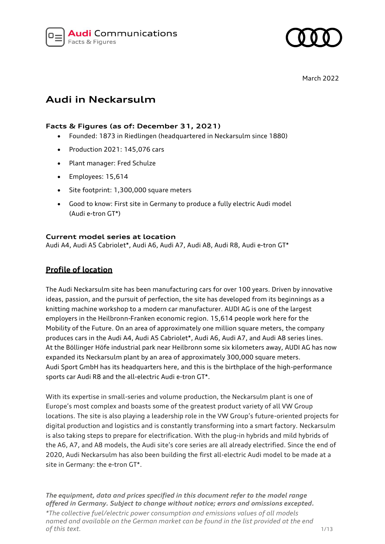

March 2022

# **Audi in Neckarsulm**

# **Facts & Figures (as of: December 31, 2021)**

- Founded: 1873 in Riedlingen (headquartered in Neckarsulm since 1880)
- Production 2021: 145,076 cars
- Plant manager: Fred Schulze
- Employees: 15,614
- Site footprint: 1,300,000 square meters
- Good to know: First site in Germany to produce a fully electric Audi model (Audi e-tron GT\*)

### **Current model series at location**

Audi A4, Audi A5 Cabriolet\*, Audi A6, Audi A7, Audi A8, Audi R8, Audi e-tron GT\*

# **Profile of location**

The Audi Neckarsulm site has been manufacturing cars for over 100 years. Driven by innovative ideas, passion, and the pursuit of perfection, the site has developed from its beginnings as a knitting machine workshop to a modern car manufacturer. AUDI AG is one of the largest employers in the Heilbronn-Franken economic region. 15,614 people work here for the Mobility of the Future. On an area of approximately one million square meters, the company produces cars in the Audi A4, Audi A5 Cabriolet\*, Audi A6, Audi A7, and Audi A8 series lines. At the Böllinger Höfe industrial park near Heilbronn some six kilometers away, AUDI AG has now expanded its Neckarsulm plant by an area of approximately 300,000 square meters. Audi Sport GmbH has its headquarters here, and this is the birthplace of the high-performance sports car Audi R8 and the all-electric Audi e-tron GT\*.

With its expertise in small-series and volume production, the Neckarsulm plant is one of Europe's most complex and boasts some of the greatest product variety of all VW Group locations. The site is also playing a leadership role in the VW Group's future-oriented projects for digital production and logistics and is constantly transforming into a smart factory. Neckarsulm is also taking steps to prepare for electrification. With the plug-in hybrids and mild hybrids of the A6, A7, and A8 models, the Audi site's core series are all already electrified. Since the end of 2020, Audi Neckarsulm has also been building the first all-electric Audi model to be made at a site in Germany: the e-tron GT\*.

*The equipment, data and prices specified in this document refer to the model range offered in Germany. Subject to change without notice; errors and omissions excepted.*

*\*The collective fuel/electric power consumption and emissions values of all models named and available on the German market can be found in the list provided at the end of this text.* 1/13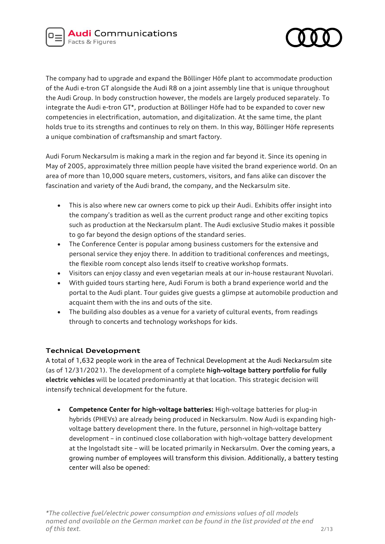

The company had to upgrade and expand the Böllinger Höfe plant to accommodate production of the Audi e-tron GT alongside the Audi R8 on a joint assembly line that is unique throughout the Audi Group. In body construction however, the models are largely produced separately. To integrate the Audi e-tron GT\*, production at Böllinger Höfe had to be expanded to cover new competencies in electrification, automation, and digitalization. At the same time, the plant holds true to its strengths and continues to rely on them. In this way, Böllinger Höfe represents a unique combination of craftsmanship and smart factory.

Audi Forum Neckarsulm is making a mark in the region and far beyond it. Since its opening in May of 2005, approximately three million people have visited the brand experience world. On an area of more than 10,000 square meters, customers, visitors, and fans alike can discover the fascination and variety of the Audi brand, the company, and the Neckarsulm site.

- This is also where new car owners come to pick up their Audi. Exhibits offer insight into the company's tradition as well as the current product range and other exciting topics such as production at the Neckarsulm plant. The Audi exclusive Studio makes it possible to go far beyond the design options of the standard series.
- The Conference Center is popular among business customers for the extensive and personal service they enjoy there. In addition to traditional conferences and meetings, the flexible room concept also lends itself to creative workshop formats.
- Visitors can enjoy classy and even vegetarian meals at our in-house restaurant Nuvolari.
- With guided tours starting here, Audi Forum is both a brand experience world and the portal to the Audi plant. Tour guides give guests a glimpse at automobile production and acquaint them with the ins and outs of the site.
- The building also doubles as a venue for a variety of cultural events, from readings through to concerts and technology workshops for kids.

# **Technical Development**

A total of 1,632 people work in the area of Technical Development at the Audi Neckarsulm site (as of 12/31/2021). The development of a complete **high-voltage battery portfolio for fully electric vehicles** will be located predominantly at that location. This strategic decision will intensify technical development for the future.

• **Competence Center for high-voltage batteries:** High-voltage batteries for plug-in hybrids (PHEVs) are already being produced in Neckarsulm. Now Audi is expanding highvoltage battery development there. In the future, personnel in high-voltage battery development – in continued close collaboration with high-voltage battery development at the Ingolstadt site – will be located primarily in Neckarsulm. Over the coming years, a growing number of employees will transform this division. Additionally, a battery testing center will also be opened: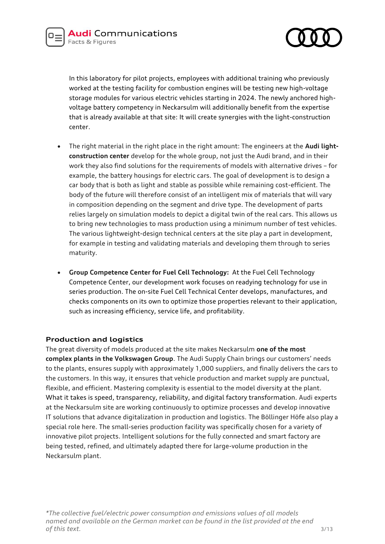

In this laboratory for pilot projects, employees with additional training who previously worked at the testing facility for combustion engines will be testing new high-voltage storage modules for various electric vehicles starting in 2024. The newly anchored highvoltage battery competency in Neckarsulm will additionally benefit from the expertise that is already available at that site: It will create synergies with the light-construction center.

- The right material in the right place in the right amount: The engineers at the **Audi lightconstruction center** develop for the whole group, not just the Audi brand, and in their work they also find solutions for the requirements of models with alternative drives – for example, the battery housings for electric cars. The goal of development is to design a car body that is both as light and stable as possible while remaining cost-efficient. The body of the future will therefore consist of an intelligent mix of materials that will vary in composition depending on the segment and drive type. The development of parts relies largely on simulation models to depict a digital twin of the real cars. This allows us to bring new technologies to mass production using a minimum number of test vehicles. The various lightweight-design technical centers at the site play a part in development, for example in testing and validating materials and developing them through to series maturity.
- **Group Competence Center for Fuel Cell Technology:** At the Fuel Cell Technology Competence Center, our development work focuses on readying technology for use in series production. The on-site Fuel Cell Technical Center develops, manufactures, and checks components on its own to optimize those properties relevant to their application, such as increasing efficiency, service life, and profitability.

### **Production and logistics**

The great diversity of models produced at the site makes Neckarsulm **one of the most complex plants in the Volkswagen Group**. The Audi Supply Chain brings our customers' needs to the plants, ensures supply with approximately 1,000 suppliers, and finally delivers the cars to the customers. In this way, it ensures that vehicle production and market supply are punctual, flexible, and efficient. Mastering complexity is essential to the model diversity at the plant. What it takes is speed, transparency, reliability, and digital factory transformation. Audi experts at the Neckarsulm site are working continuously to optimize processes and develop innovative IT solutions that advance digitalization in production and logistics. The Böllinger Höfe also play a special role here. The small-series production facility was specifically chosen for a variety of innovative pilot projects. Intelligent solutions for the fully connected and smart factory are being tested, refined, and ultimately adapted there for large-volume production in the Neckarsulm plant.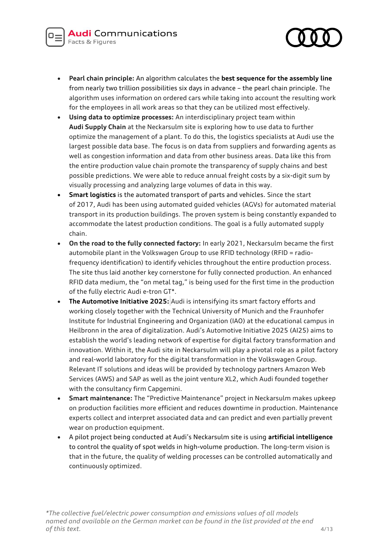

- **Pearl chain principle:** An algorithm calculates the **best sequence for the assembly line** from nearly two trillion possibilities six days in advance – the pearl chain principle. The algorithm uses information on ordered cars while taking into account the resulting work for the employees in all work areas so that they can be utilized most effectively.
- **Using data to optimize processes:** An interdisciplinary project team within **Audi Supply Chain** at the Neckarsulm site is exploring how to use data to further optimize the management of a plant. To do this, the logistics specialists at Audi use the largest possible data base. The focus is on data from suppliers and forwarding agents as well as congestion information and data from other business areas. Data like this from the entire production value chain promote the transparency of supply chains and best possible predictions. We were able to reduce annual freight costs by a six-digit sum by visually processing and analyzing large volumes of data in this way.
- **Smart logistics** is the automated transport of parts and vehicles. Since the start of 2017, Audi has been using automated guided vehicles (AGVs) for automated material transport in its production buildings. The proven system is being constantly expanded to accommodate the latest production conditions. The goal is a fully automated supply chain.
- **On the road to the fully connected factory:** In early 2021, Neckarsulm became the first automobile plant in the Volkswagen Group to use RFID technology (RFID = radiofrequency identification) to identify vehicles throughout the entire production process. The site thus laid another key cornerstone for fully connected production. An enhanced RFID data medium, the "on metal tag," is being used for the first time in the production of the fully electric Audi e-tron GT\*.
- **The Automotive Initiative 2025:** Audi is intensifying its smart factory efforts and working closely together with the Technical University of Munich and the Fraunhofer Institute for Industrial Engineering and Organization (IAO) at the educational campus in Heilbronn in the area of digitalization. Audi's Automotive Initiative 2025 (AI25) aims to establish the world's leading network of expertise for digital factory transformation and innovation. Within it, the Audi site in Neckarsulm will play a pivotal role as a pilot factory and real-world laboratory for the digital transformation in the Volkswagen Group. Relevant IT solutions and ideas will be provided by technology partners Amazon Web Services (AWS) and SAP as well as the joint venture XL2, which Audi founded together with the consultancy firm Capgemini.
- **Smart maintenance:** The "Predictive Maintenance" project in Neckarsulm makes upkeep on production facilities more efficient and reduces downtime in production. Maintenance experts collect and interpret associated data and can predict and even partially prevent wear on production equipment.
- A pilot project being conducted at Audi's Neckarsulm site is using **artificial intelligence** to control the quality of spot welds in high-volume production. The long-term vision is that in the future, the quality of welding processes can be controlled automatically and continuously optimized.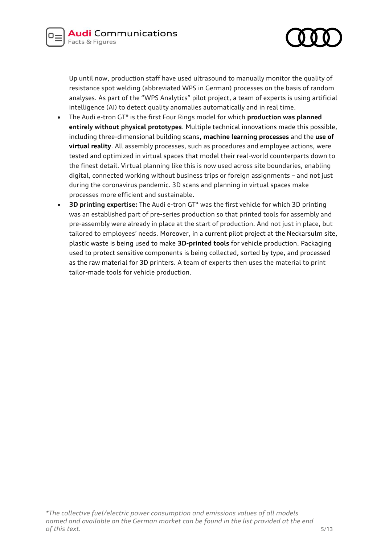



Up until now, production staff have used ultrasound to manually monitor the quality of resistance spot welding (abbreviated WPS in German) processes on the basis of random analyses. As part of the "WPS Analytics" pilot project, a team of experts is using artificial intelligence (AI) to detect quality anomalies automatically and in real time.

- The Audi e-tron GT\* is the first Four Rings model for which **production was planned entirely without physical prototypes**. Multiple technical innovations made this possible, including three-dimensional building scans**, machine learning processes** and the **use of virtual reality**. All assembly processes, such as procedures and employee actions, were tested and optimized in virtual spaces that model their real-world counterparts down to the finest detail. Virtual planning like this is now used across site boundaries, enabling digital, connected working without business trips or foreign assignments – and not just during the coronavirus pandemic. 3D scans and planning in virtual spaces make processes more efficient and sustainable.
- **3D printing expertise:** The Audi e-tron GT\* was the first vehicle for which 3D printing was an established part of pre-series production so that printed tools for assembly and pre-assembly were already in place at the start of production. And not just in place, but tailored to employees' needs. Moreover, in a current pilot project at the Neckarsulm site, plastic waste is being used to make **3D-printed tools** for vehicle production. Packaging used to protect sensitive components is being collected, sorted by type, and processed as the raw material for 3D printers. A team of experts then uses the material to print tailor-made tools for vehicle production.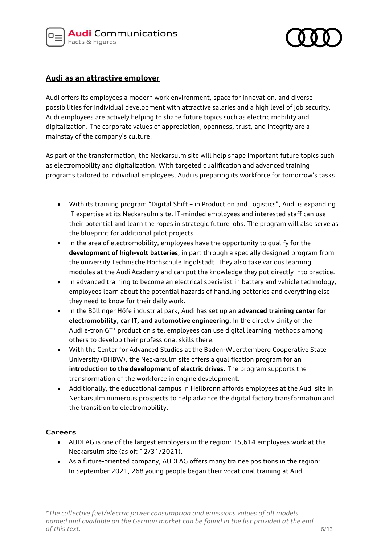



# **Audi as an attractive employer**

Audi offers its employees a modern work environment, space for innovation, and diverse possibilities for individual development with attractive salaries and a high level of job security. Audi employees are actively helping to shape future topics such as electric mobility and digitalization. The corporate values of appreciation, openness, trust, and integrity are a mainstay of the company's culture.

As part of the transformation, the Neckarsulm site will help shape important future topics such as electromobility and digitalization. With targeted qualification and advanced training programs tailored to individual employees, Audi is preparing its workforce for tomorrow's tasks.

- With its training program "Digital Shift in Production and Logistics", Audi is expanding IT expertise at its Neckarsulm site. IT-minded employees and interested staff can use their potential and learn the ropes in strategic future jobs. The program will also serve as the blueprint for additional pilot projects.
- In the area of electromobility, employees have the opportunity to qualify for the **development of high-volt batteries**, in part through a specially designed program from the university Technische Hochschule Ingolstadt. They also take various learning modules at the Audi Academy and can put the knowledge they put directly into practice.
- In advanced training to become an electrical specialist in battery and vehicle technology, employees learn about the potential hazards of handling batteries and everything else they need to know for their daily work.
- In the Böllinger Höfe industrial park, Audi has set up an **advanced training center for electromobility, car IT, and automotive engineering**. In the direct vicinity of the Audi e-tron GT\* production site, employees can use digital learning methods among others to develop their professional skills there.
- With the Center for Advanced Studies at the Baden-Wuerttemberg Cooperative State University (DHBW), the Neckarsulm site offers a qualification program for an **introduction to the development of electric drives.** The program supports the transformation of the workforce in engine development.
- Additionally, the educational campus in Heilbronn affords employees at the Audi site in Neckarsulm numerous prospects to help advance the digital factory transformation and the transition to electromobility.

### **Careers**

- AUDI AG is one of the largest employers in the region: 15,614 employees work at the Neckarsulm site (as of: 12/31/2021).
- As a future-oriented company, AUDI AG offers many trainee positions in the region: In September 2021, 268 young people began their vocational training at Audi.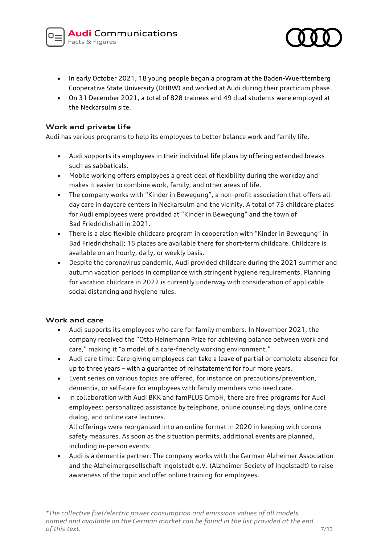

- In early October 2021, 18 young people began a program at the Baden-Wuerttemberg Cooperative State University (DHBW) and worked at Audi during their practicum phase.
- On 31 December 2021, a total of 828 trainees and 49 dual students were employed at the Neckarsulm site.

### **Work and private life**

Audi has various programs to help its employees to better balance work and family life.

- Audi supports its employees in their individual life plans by offering extended breaks such as sabbaticals.
- Mobile working offers employees a great deal of flexibility during the workday and makes it easier to combine work, family, and other areas of life.
- The company works with "Kinder in Bewegung", a non-profit association that offers allday care in daycare centers in Neckarsulm and the vicinity. A total of 73 childcare places for Audi employees were provided at "Kinder in Bewegung" and the town of Bad Friedrichshall in 2021.
- There is a also flexible childcare program in cooperation with "Kinder in Bewegung" in Bad Friedrichshall; 15 places are available there for short-term childcare. Childcare is available on an hourly, daily, or weekly basis.
- Despite the coronavirus pandemic, Audi provided childcare during the 2021 summer and autumn vacation periods in compliance with stringent hygiene requirements. Planning for vacation childcare in 2022 is currently underway with consideration of applicable social distancing and hygiene rules.

# **Work and care**

- Audi supports its employees who care for family members. In November 2021, the company received the "Otto Heinemann Prize for achieving balance between work and care," making it "a model of a care-friendly working environment."
- Audi care time: Care-giving employees can take a leave of partial or complete absence for up to three years – with a guarantee of reinstatement for four more years.
- Event series on various topics are offered, for instance on precautions/prevention, dementia, or self-care for employees with family members who need care.
- In collaboration with Audi BKK and famPLUS GmbH, there are free programs for Audi employees: personalized assistance by telephone, online counseling days, online care dialog, and online care lectures.

All offerings were reorganized into an online format in 2020 in keeping with corona safety measures. As soon as the situation permits, additional events are planned, including in-person events.

• Audi is a dementia partner: The company works with the German Alzheimer Association and the Alzheimergesellschaft Ingolstadt e.V. (Alzheimer Society of Ingolstadt) to raise awareness of the topic and offer online training for employees.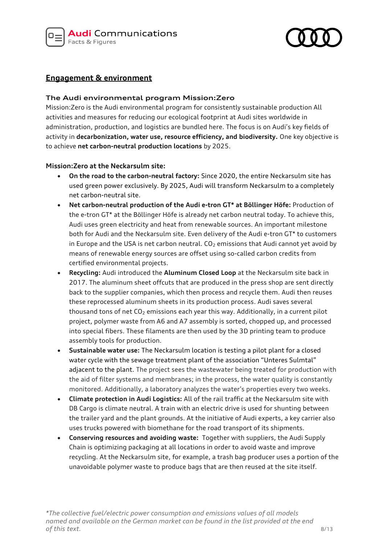

# **Engagement & environment**

# **The Audi environmental program Mission:Zero**

Mission:Zero is the Audi environmental program for consistently sustainable production All activities and measures for reducing our ecological footprint at Audi sites worldwide in administration, production, and logistics are bundled here. The focus is on Audi's key fields of activity in **decarbonization, water use, resource efficiency, and biodiversity.** One key objective is to achieve **net carbon-neutral production locations** by 2025.

# **Mission:Zero at the Neckarsulm site:**

- **On the road to the carbon-neutral factory:** Since 2020, the entire Neckarsulm site has used green power exclusively. By 2025, Audi will transform Neckarsulm to a completely net carbon-neutral site.
- **Net carbon-neutral production of the Audi e-tron GT\* at Böllinger Höfe:** Production of the e-tron GT\* at the Böllinger Höfe is already net carbon neutral today. To achieve this, Audi uses green electricity and heat from renewable sources. An important milestone both for Audi and the Neckarsulm site. Even delivery of the Audi e-tron GT\* to customers in Europe and the USA is net carbon neutral.  $CO<sub>2</sub>$  emissions that Audi cannot yet avoid by means of renewable energy sources are offset using so-called carbon credits from certified environmental projects.
- **Recycling:** Audi introduced the **Aluminum Closed Loop** at the Neckarsulm site back in 2017. The aluminum sheet offcuts that are produced in the press shop are sent directly back to the supplier companies, which then process and recycle them. Audi then reuses these reprocessed aluminum sheets in its production process. Audi saves several thousand tons of net  $CO<sub>2</sub>$  emissions each year this way. Additionally, in a current pilot project, polymer waste from A6 and A7 assembly is sorted, chopped up, and processed into special fibers. These filaments are then used by the 3D printing team to produce assembly tools for production.
- **Sustainable water use:** The Neckarsulm location is testing a pilot plant for a closed water cycle with the sewage treatment plant of the association "Unteres Sulmtal" adjacent to the plant. The project sees the wastewater being treated for production with the aid of filter systems and membranes; in the process, the water quality is constantly monitored. Additionally, a laboratory analyzes the water's properties every two weeks.
- **Climate protection in Audi Logistics:** All of the rail traffic at the Neckarsulm site with DB Cargo is climate neutral. A train with an electric drive is used for shunting between the trailer yard and the plant grounds. At the initiative of Audi experts, a key carrier also uses trucks powered with biomethane for the road transport of its shipments.
- **Conserving resources and avoiding waste:** Together with suppliers, the Audi Supply Chain is optimizing packaging at all locations in order to avoid waste and improve recycling. At the Neckarsulm site, for example, a trash bag producer uses a portion of the unavoidable polymer waste to produce bags that are then reused at the site itself.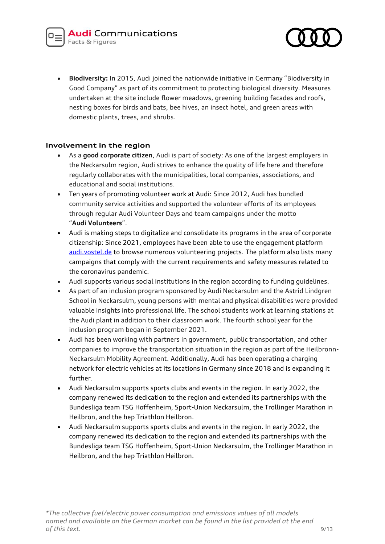

• **Biodiversity:** In 2015, Audi joined the nationwide initiative in Germany "Biodiversity in Good Company" as part of its commitment to protecting biological diversity. Measures undertaken at the site include flower meadows, greening building facades and roofs, nesting boxes for birds and bats, bee hives, an insect hotel, and green areas with domestic plants, trees, and shrubs.

# **Involvement in the region**

- As a **good corporate citizen**, Audi is part of society: As one of the largest employers in the Neckarsulm region, Audi strives to enhance the quality of life here and therefore regularly collaborates with the municipalities, local companies, associations, and educational and social institutions.
- Ten years of promoting volunteer work at Audi: Since 2012, Audi has bundled community service activities and supported the volunteer efforts of its employees through regular Audi Volunteer Days and team campaigns under the motto "**Audi Volunteers**".
- Audi is making steps to digitalize and consolidate its programs in the area of corporate citizenship: Since 2021, employees have been able to use the engagement platform [audi.vostel.de](https://audi.vostel.de/en/volunteering/projects) to browse numerous volunteering projects. The platform also lists many campaigns that comply with the current requirements and safety measures related to the coronavirus pandemic.
- Audi supports various social institutions in the region according to funding guidelines.
- As part of an inclusion program sponsored by Audi Neckarsulm and the Astrid Lindgren School in Neckarsulm, young persons with mental and physical disabilities were provided valuable insights into professional life. The school students work at learning stations at the Audi plant in addition to their classroom work. The fourth school year for the inclusion program began in September 2021.
- Audi has been working with partners in government, public transportation, and other companies to improve the transportation situation in the region as part of the Heilbronn-Neckarsulm Mobility Agreement. Additionally, Audi has been operating a charging network for electric vehicles at its locations in Germany since 2018 and is expanding it further.
- Audi Neckarsulm supports sports clubs and events in the region. In early 2022, the company renewed its dedication to the region and extended its partnerships with the Bundesliga team TSG Hoffenheim, Sport-Union Neckarsulm, the Trollinger Marathon in Heilbron, and the hep Triathlon Heilbron.
- Audi Neckarsulm supports sports clubs and events in the region. In early 2022, the company renewed its dedication to the region and extended its partnerships with the Bundesliga team TSG Hoffenheim, Sport-Union Neckarsulm, the Trollinger Marathon in Heilbron, and the hep Triathlon Heilbron.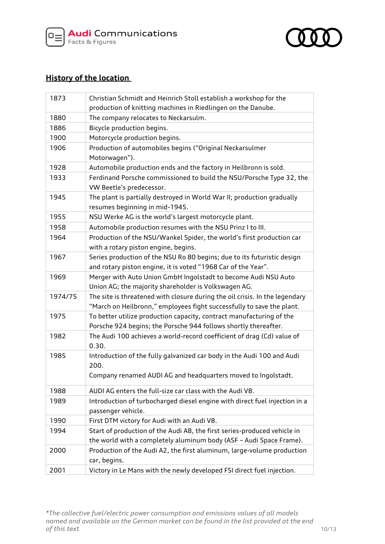



# **History of the location**

| 1873    | Christian Schmidt and Heinrich Stoll establish a workshop for the           |
|---------|-----------------------------------------------------------------------------|
|         | production of knitting machines in Riedlingen on the Danube.                |
| 1880    | The company relocates to Neckarsulm.                                        |
| 1886    | Bicycle production begins.                                                  |
| 1900    | Motorcycle production begins.                                               |
| 1906    | Production of automobiles begins ("Original Neckarsulmer                    |
|         | Motorwagen").                                                               |
| 1928    | Automobile production ends and the factory in Heilbronn is sold.            |
| 1933    | Ferdinand Porsche commissioned to build the NSU/Porsche Type 32, the        |
|         | VW Beetle's predecessor.                                                    |
| 1945    | The plant is partially destroyed in World War II; production gradually      |
|         | resumes beginning in mid-1945.                                              |
| 1955    | NSU Werke AG is the world's largest motorcycle plant.                       |
| 1958    | Automobile production resumes with the NSU Prinz I to III.                  |
| 1964    | Production of the NSU/Wankel Spider, the world's first production car       |
|         | with a rotary piston engine, begins.                                        |
| 1967    | Series production of the NSU Ro 80 begins; due to its futuristic design     |
|         | and rotary piston engine, it is voted "1968 Car of the Year".               |
| 1969    | Merger with Auto Union GmbH Ingolstadt to become Audi NSU Auto              |
|         | Union AG; the majority shareholder is Volkswagen AG.                        |
| 1974/75 | The site is threatened with closure during the oil crisis. In the legendary |
|         | "March on Heilbronn," employees fight successfully to save the plant.       |
| 1975    | To better utilize production capacity, contract manufacturing of the        |
|         | Porsche 924 begins; the Porsche 944 follows shortly thereafter.             |
| 1982    | The Audi 100 achieves a world-record coefficient of drag (Cd) value of      |
|         | 0.30.                                                                       |
| 1985    | Introduction of the fully galvanized car body in the Audi 100 and Audi      |
|         | 200.                                                                        |
|         | Company renamed AUDI AG and headquarters moved to Ingolstadt.               |
| 1988    | AUDI AG enters the full-size car class with the Audi V8.                    |
| 1989    | Introduction of turbocharged diesel engine with direct fuel injection in a  |
|         | passenger vehicle.                                                          |
| 1990    | First DTM victory for Audi with an Audi V8.                                 |
| 1994    | Start of production of the Audi A8, the first series-produced vehicle in    |
|         | the world with a completely aluminum body (ASF - Audi Space Frame).         |
| 2000    | Production of the Audi A2, the first aluminum, large-volume production      |
|         | car, begins.                                                                |
| 2001    | Victory in Le Mans with the newly developed FSI direct fuel injection.      |

*\*The collective fuel/electric power consumption and emissions values of all models named and available on the German market can be found in the list provided at the end*  **of this text.** 10/13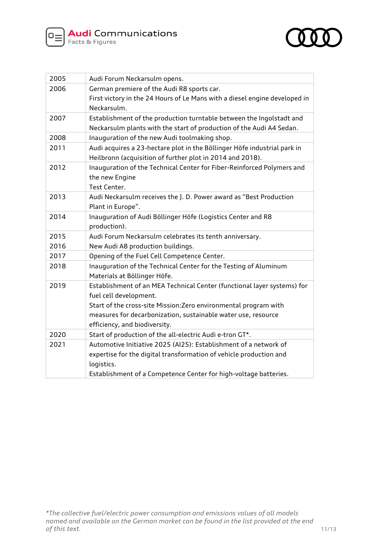



| 2005 | Audi Forum Neckarsulm opens.                                                              |
|------|-------------------------------------------------------------------------------------------|
| 2006 | German premiere of the Audi R8 sports car.                                                |
|      | First victory in the 24 Hours of Le Mans with a diesel engine developed in<br>Neckarsulm. |
| 2007 | Establishment of the production turntable between the Ingolstadt and                      |
|      | Neckarsulm plants with the start of production of the Audi A4 Sedan.                      |
| 2008 | Inauguration of the new Audi toolmaking shop.                                             |
| 2011 | Audi acquires a 23-hectare plot in the Böllinger Höfe industrial park in                  |
|      | Heilbronn (acquisition of further plot in 2014 and 2018).                                 |
| 2012 | Inauguration of the Technical Center for Fiber-Reinforced Polymers and                    |
|      | the new Engine                                                                            |
|      | Test Center.                                                                              |
| 2013 | Audi Neckarsulm receives the J. D. Power award as "Best Production                        |
|      | Plant in Europe".                                                                         |
| 2014 | Inauguration of Audi Böllinger Höfe (Logistics Center and R8                              |
|      | production).                                                                              |
| 2015 | Audi Forum Neckarsulm celebrates its tenth anniversary.                                   |
| 2016 | New Audi A8 production buildings.                                                         |
| 2017 | Opening of the Fuel Cell Competence Center.                                               |
| 2018 | Inauguration of the Technical Center for the Testing of Aluminum                          |
|      | Materials at Böllinger Höfe.                                                              |
| 2019 | Establishment of an MEA Technical Center (functional layer systems) for                   |
|      | fuel cell development.                                                                    |
|      | Start of the cross-site Mission: Zero environmental program with                          |
|      | measures for decarbonization, sustainable water use, resource                             |
|      | efficiency, and biodiversity.                                                             |
| 2020 | Start of production of the all-electric Audi e-tron GT*.                                  |
| 2021 | Automotive Initiative 2025 (AI25): Establishment of a network of                          |
|      | expertise for the digital transformation of vehicle production and                        |
|      | logistics.                                                                                |
|      | Establishment of a Competence Center for high-voltage batteries.                          |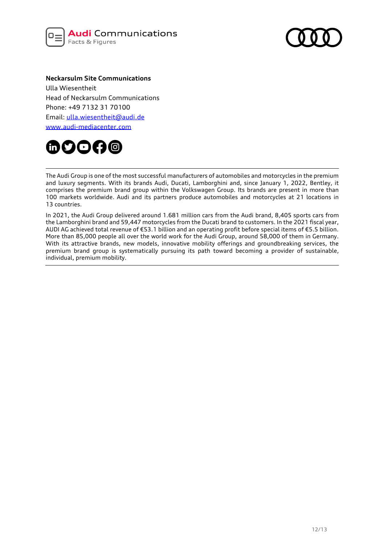



#### **Neckarsulm Site Communications**

Ulla Wiesentheit Head of Neckarsulm Communications Phone: +49 7132 31 70100 Email: [ulla.wiesentheit@audi.de](mailto:ulla.wiesentheit@audi.de) www.audi-mediacenter.com



The Audi Group is one of the most successful manufacturers of automobiles and motorcycles in the premium and luxury segments. With its brands Audi, Ducati, Lamborghini and, since January 1, 2022, Bentley, it comprises the premium brand group within the Volkswagen Group. Its brands are present in more than 100 markets worldwide. Audi and its partners produce automobiles and motorcycles at 21 locations in 13 countries.

In 2021, the Audi Group delivered around 1.681 million cars from the Audi brand, 8,405 sports cars from the Lamborghini brand and 59,447 motorcycles from the Ducati brand to customers. In the 2021 fiscal year, AUDI AG achieved total revenue of €53.1 billion and an operating profit before special items of €5.5 billion. More than 85,000 people all over the world work for the Audi Group, around 58,000 of them in Germany. With its attractive brands, new models, innovative mobility offerings and groundbreaking services, the premium brand group is systematically pursuing its path toward becoming a provider of sustainable, individual, premium mobility.